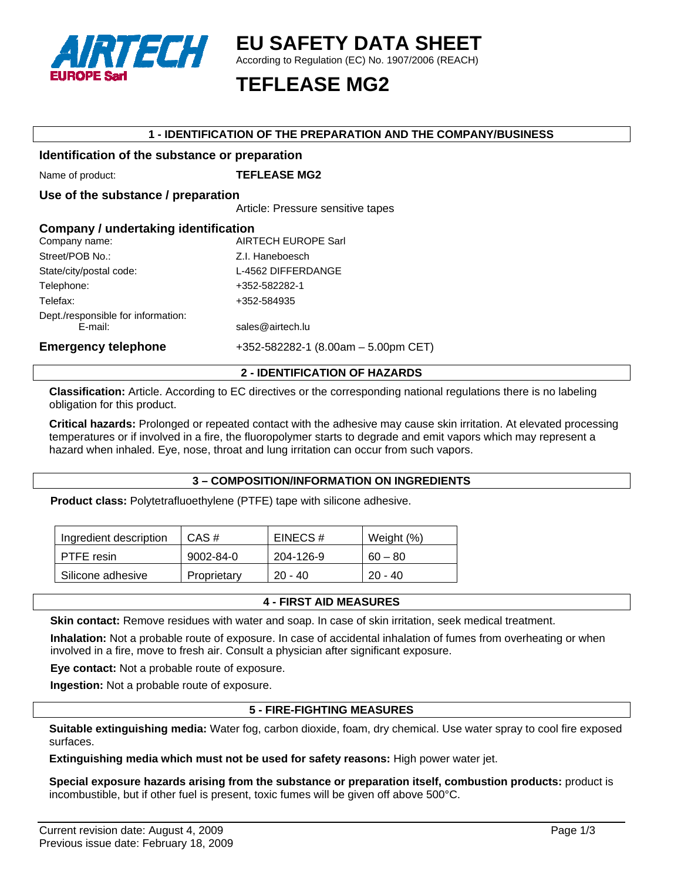

# **EU SAFETY DATA SHEET**

According to Regulation (EC) No. 1907/2006 (REACH)

# **TEFLEASE MG2**

## **1 - IDENTIFICATION OF THE PREPARATION AND THE COMPANY/BUSINESS**

# **Identification of the substance or preparation**

Name of product: **TEFLEASE MG2** 

**Use of the substance / preparation** 

Article: Pressure sensitive tapes

| Company / undertaking identification          |                                     |  |
|-----------------------------------------------|-------------------------------------|--|
| Company name:                                 | <b>AIRTECH EUROPE Sarl</b>          |  |
| Street/POB No.:                               | Z.I. Haneboesch                     |  |
| State/city/postal code:                       | L-4562 DIFFERDANGE                  |  |
| Telephone:                                    | +352-582282-1                       |  |
| Telefax:                                      | +352-584935                         |  |
| Dept./responsible for information:<br>E-mail: | sales@airtech.lu                    |  |
| <b>Emergency telephone</b>                    | +352-582282-1 (8.00am - 5.00pm CET) |  |

#### **2 - IDENTIFICATION OF HAZARDS**

**Classification:** Article. According to EC directives or the corresponding national regulations there is no labeling obligation for this product.

**Critical hazards:** Prolonged or repeated contact with the adhesive may cause skin irritation. At elevated processing temperatures or if involved in a fire, the fluoropolymer starts to degrade and emit vapors which may represent a hazard when inhaled. Eye, nose, throat and lung irritation can occur from such vapors.

#### **3 – COMPOSITION/INFORMATION ON INGREDIENTS**

**Product class:** Polytetrafluoethylene (PTFE) tape with silicone adhesive.

| Ingredient description | CAS#        | EINECS#   | Weight (%) |
|------------------------|-------------|-----------|------------|
| <b>PTFE</b> resin      | 9002-84-0   | 204-126-9 | $60 - 80$  |
| Silicone adhesive      | Proprietary | $20 - 40$ | $20 - 40$  |

#### **4 - FIRST AID MEASURES**

**Skin contact:** Remove residues with water and soap. In case of skin irritation, seek medical treatment.

**Inhalation:** Not a probable route of exposure. In case of accidental inhalation of fumes from overheating or when involved in a fire, move to fresh air. Consult a physician after significant exposure.

**Eye contact:** Not a probable route of exposure.

**Ingestion:** Not a probable route of exposure.

#### **5 - FIRE-FIGHTING MEASURES**

**Suitable extinguishing media:** Water fog, carbon dioxide, foam, dry chemical. Use water spray to cool fire exposed surfaces.

**Extinguishing media which must not be used for safety reasons:** High power water jet.

**Special exposure hazards arising from the substance or preparation itself, combustion products:** product is incombustible, but if other fuel is present, toxic fumes will be given off above 500°C.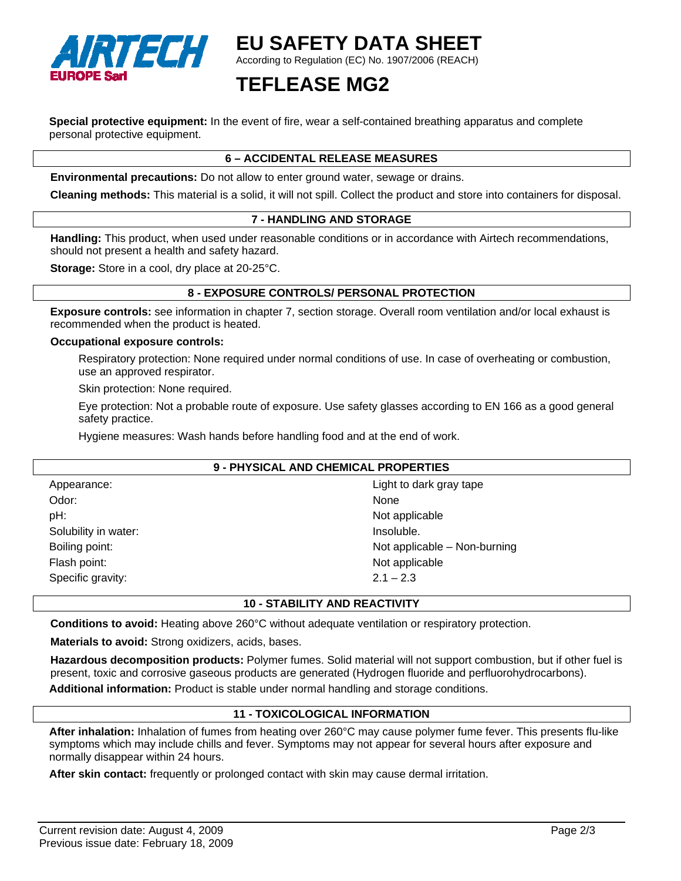

# **EU SAFETY DATA SHEET**

According to Regulation (EC) No. 1907/2006 (REACH)

# **TEFLEASE MG2**

**Special protective equipment:** In the event of fire, wear a self-contained breathing apparatus and complete personal protective equipment.

# **6 – ACCIDENTAL RELEASE MEASURES**

**Environmental precautions:** Do not allow to enter ground water, sewage or drains.

**Cleaning methods:** This material is a solid, it will not spill. Collect the product and store into containers for disposal.

## **7 - HANDLING AND STORAGE**

**Handling:** This product, when used under reasonable conditions or in accordance with Airtech recommendations, should not present a health and safety hazard.

**Storage:** Store in a cool, dry place at 20-25°C.

#### **8 - EXPOSURE CONTROLS/ PERSONAL PROTECTION**

**Exposure controls:** see information in chapter 7, section storage. Overall room ventilation and/or local exhaust is recommended when the product is heated.

#### **Occupational exposure controls:**

Respiratory protection: None required under normal conditions of use. In case of overheating or combustion, use an approved respirator.

Skin protection: None required.

Eye protection: Not a probable route of exposure. Use safety glasses according to EN 166 as a good general safety practice.

Hygiene measures: Wash hands before handling food and at the end of work.

# **9 - PHYSICAL AND CHEMICAL PROPERTIES**

| Appearance:          | Light to dark gray tape      |
|----------------------|------------------------------|
| Odor:                | None                         |
| pH:                  | Not applicable               |
| Solubility in water: | Insoluble.                   |
| Boiling point:       | Not applicable - Non-burning |
| Flash point:         | Not applicable               |
| Specific gravity:    | $2.1 - 2.3$                  |

## **10 - STABILITY AND REACTIVITY**

**Conditions to avoid:** Heating above 260°C without adequate ventilation or respiratory protection.

**Materials to avoid:** Strong oxidizers, acids, bases.

**Hazardous decomposition products:** Polymer fumes. Solid material will not support combustion, but if other fuel is present, toxic and corrosive gaseous products are generated (Hydrogen fluoride and perfluorohydrocarbons). **Additional information:** Product is stable under normal handling and storage conditions.

## **11 - TOXICOLOGICAL INFORMATION**

**After inhalation:** Inhalation of fumes from heating over 260°C may cause polymer fume fever. This presents flu-like symptoms which may include chills and fever. Symptoms may not appear for several hours after exposure and normally disappear within 24 hours.

**After skin contact:** frequently or prolonged contact with skin may cause dermal irritation.